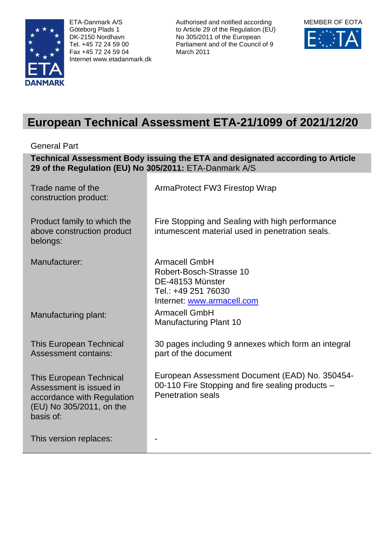

ETA-Danmark A/S Göteborg Plads 1 DK-2150 Nordhavn Tel. +45 72 24 59 00 Fax +45 72 24 59 04 Internet www.etadanmark.dk

Authorised and notified according to Article 29 of the Regulation (EU) No 305/2011 of the European Parliament and of the Council of 9 March 2011



# **European Technical Assessment ETA-21/1099 of 2021/12/20**

General Part

**Technical Assessment Body issuing the ETA and designated according to Article 29 of the Regulation (EU) No 305/2011:** ETA-Danmark A/S

| Trade name of the<br>construction product:                                                                                       | ArmaProtect FW3 Firestop Wrap                                                                                                  |
|----------------------------------------------------------------------------------------------------------------------------------|--------------------------------------------------------------------------------------------------------------------------------|
| Product family to which the<br>above construction product<br>belongs:                                                            | Fire Stopping and Sealing with high performance<br>intumescent material used in penetration seals.                             |
| Manufacturer:                                                                                                                    | <b>Armacell GmbH</b><br>Robert-Bosch-Strasse 10<br>DE-48153 Münster<br>Tel.: +49 251 76030<br>Internet: www.armacell.com       |
| Manufacturing plant:                                                                                                             | <b>Armacell GmbH</b><br><b>Manufacturing Plant 10</b>                                                                          |
| <b>This European Technical</b><br><b>Assessment contains:</b>                                                                    | 30 pages including 9 annexes which form an integral<br>part of the document                                                    |
| <b>This European Technical</b><br>Assessment is issued in<br>accordance with Regulation<br>(EU) No 305/2011, on the<br>basis of: | European Assessment Document (EAD) No. 350454-<br>00-110 Fire Stopping and fire sealing products -<br><b>Penetration seals</b> |
| This version replaces:                                                                                                           |                                                                                                                                |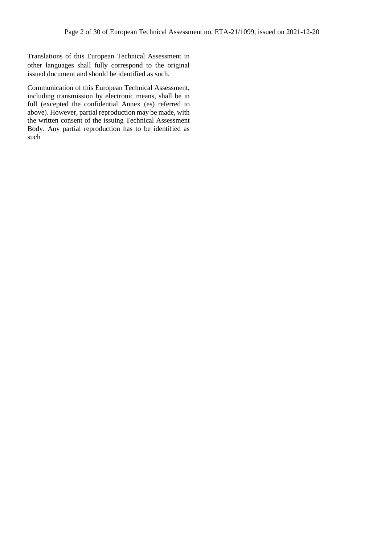Translations of this European Technical Assessment in other languages shall fully correspond to the original issued document and should be identified as such.

Communication of this European Technical Assessment, including transmission by electronic means, shall be in full (excepted the confidential Annex (es) referred to above). However, partial reproduction may be made, with the written consent of the issuing Technical Assessment Body. Any partial reproduction has to be identified as such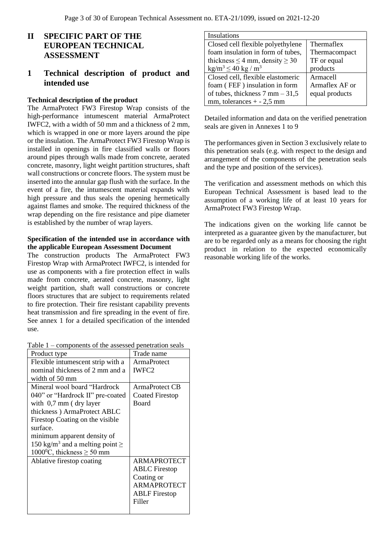# **II SPECIFIC PART OF THE EUROPEAN TECHNICAL ASSESSMENT**

# **1 Technical description of product and intended use**

## **Technical description of the product**

The ArmaProtect FW3 Firestop Wrap consists of the high-performance intumescent material ArmaProtect IWFC2, with a width of 50 mm and a thickness of 2 mm, which is wrapped in one or more layers around the pipe or the insulation. The ArmaProtect FW3 Firestop Wrap is installed in openings in fire classified walls or floors around pipes through walls made from concrete, aerated concrete, masonry, light weight partition structures, shaft wall constructions or concrete floors. The system must be inserted into the annular gap flush with the surface. In the event of a fire, the intumescent material expands with high pressure and thus seals the opening hermetically against flames and smoke. The required thickness of the wrap depending on the fire resistance and pipe diameter is established by the number of wrap layers.

#### **Specification of the intended use in accordance with the applicable European Assessment Document**

The construction products The ArmaProtect FW3 Firestop Wrap with ArmaProtect IWFC2, is intended for use as components with a fire protection effect in walls made from concrete, aerated concrete, masonry, light weight partition, shaft wall constructions or concrete floors structures that are subject to requirements related to fire protection. Their fire resistant capability prevents heat transmission and fire spreading in the event of fire. See annex 1 for a detailed specification of the intended use.

| Table $1$ – components of the assessed penetration seals |
|----------------------------------------------------------|
|----------------------------------------------------------|

| components of the assessed penetration sears     |                        |
|--------------------------------------------------|------------------------|
| Product type                                     | Trade name             |
| Flexible intumescent strip with a                | <b>ArmaProtect</b>     |
| nominal thickness of 2 mm and a                  | IWFC <sub>2</sub>      |
| width of 50 mm                                   |                        |
| Mineral wool board "Hardrock"                    | ArmaProtect CB         |
| 040" or "Hardrock II" pre-coated                 | <b>Coated Firestop</b> |
| with $0,7$ mm (dry layer                         | Board                  |
| thickness) ArmaProtect ABLC                      |                        |
| Firestop Coating on the visible                  |                        |
| surface.                                         |                        |
| minimum apparent density of                      |                        |
| 150 kg/m <sup>3</sup> and a melting point $\geq$ |                        |
| $1000^{\circ}$ C, thickness $\geq 50$ mm         |                        |
| Ablative firestop coating                        | <b>ARMAPROTECT</b>     |
|                                                  | <b>ABLC</b> Firestop   |
|                                                  | Coating or             |
|                                                  | <b>ARMAPROTECT</b>     |
|                                                  | <b>ABLF</b> Firestop   |
|                                                  | Filler                 |
|                                                  |                        |
|                                                  |                        |

| Insulations                               |                   |
|-------------------------------------------|-------------------|
| Closed cell flexible polyethylene         | <b>Thermaflex</b> |
| foam insulation in form of tubes,         | Thermacompact     |
| thickness $\leq$ 4 mm, density $\geq$ 30  | TF or equal       |
| $\text{kg/m}^3 \leq 40 \text{ kg/m}^3$    | products          |
| Closed cell, flexible elastomeric         | Armacell          |
| foam (FEF) insulation in form             | Armaflex AF or    |
| of tubes, thickness $7 \text{ mm} - 31,5$ | equal products    |
| mm, tolerances $+ -2.5$ mm                |                   |

Detailed information and data on the verified penetration seals are given in Annexes 1 to 9

The performances given in Section 3 exclusively relate to this penetration seals (e.g. with respect to the design and arrangement of the components of the penetration seals and the type and position of the services).

The verification and assessment methods on which this European Technical Assessment is based lead to the assumption of a working life of at least 10 years for ArmaProtect FW3 Firestop Wrap.

The indications given on the working life cannot be interpreted as a guarantee given by the manufacturer, but are to be regarded only as a means for choosing the right product in relation to the expected economically reasonable working life of the works.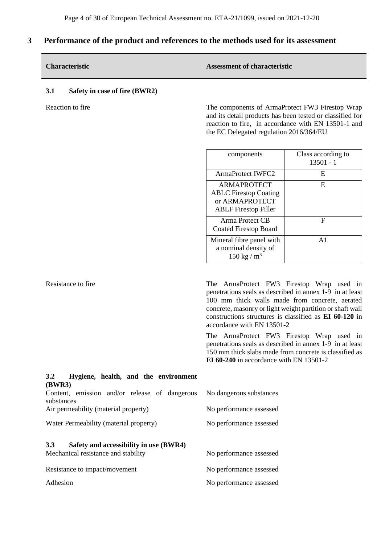# **3 Performance of the product and references to the methods used for its assessment**

|     | <b>Characteristic</b>                | <b>Assessment of characteristic</b> |
|-----|--------------------------------------|-------------------------------------|
| 3.1 | <b>Safety in case of fire (BWR2)</b> |                                     |

Reaction to fire The components of ArmaProtect FW3 Firestop Wrap and its detail products has been tested or classified for reaction to fire, in accordance with EN 13501-1 and the EC Delegated regulation 2016/364/EU

| components                                                                                   | Class according to<br>$13501 - 1$ |
|----------------------------------------------------------------------------------------------|-----------------------------------|
| ArmaProtect IWFC2                                                                            | E                                 |
| ARMAPROTECT<br><b>ABLC Firestop Coating</b><br>or ARMAPROTECT<br><b>ABLF</b> Firestop Filler | E                                 |
| Arma Protect CB<br>Coated Firestop Board                                                     | F                                 |
| Mineral fibre panel with<br>a nominal density of<br>150 kg / $m^3$                           | $\mathbf{A}$ 1                    |

Resistance to fire The ArmaProtect FW3 Firestop Wrap used in penetrations seals as described in annex 1-9 in at least 100 mm thick walls made from concrete, aerated concrete, masonry or light weight partition or shaft wall constructions structures is classified as **EI 60-120** in accordance with EN 13501-2

> The ArmaProtect FW3 Firestop Wrap used in penetrations seals as described in annex 1-9 in at least 150 mm thick slabs made from concrete is classified as **EI 60-240** in accordance with EN 13501-2

| Hygiene, health, and the environment<br>3.2                                                             |                         |
|---------------------------------------------------------------------------------------------------------|-------------------------|
| <b>(BWR3)</b><br>Content, emission and/or release of dangerous<br>No dangerous substances<br>substances |                         |
| Air permeability (material property)                                                                    | No performance assessed |
| Water Permeability (material property)                                                                  | No performance assessed |
| <b>3.3</b><br>Safety and accessibility in use (BWR4)<br>Mechanical resistance and stability             | No performance assessed |
| Resistance to impact/movement                                                                           | No performance assessed |
| Adhesion                                                                                                | No performance assessed |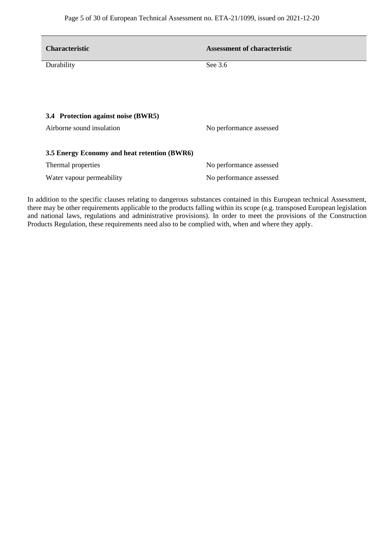| <b>Characteristic</b>                        | <b>Assessment of characteristic</b> |
|----------------------------------------------|-------------------------------------|
| Durability                                   | See 3.6                             |
|                                              |                                     |
|                                              |                                     |
| 3.4 Protection against noise (BWR5)          |                                     |
| Airborne sound insulation                    | No performance assessed             |
| 3.5 Energy Economy and heat retention (BWR6) |                                     |
| Thermal properties                           | No performance assessed             |
| Water vapour permeability                    | No performance assessed             |

In addition to the specific clauses relating to dangerous substances contained in this European technical Assessment, there may be other requirements applicable to the products falling within its scope (e.g. transposed European legislation and national laws, regulations and administrative provisions). In order to meet the provisions of the Construction Products Regulation, these requirements need also to be complied with, when and where they apply.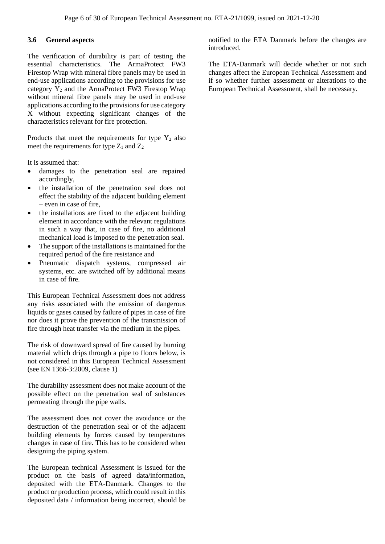### **3.6 General aspects**

The verification of durability is part of testing the essential characteristics. The ArmaProtect FW3 Firestop Wrap with mineral fibre panels may be used in end-use applications according to the provisions for use category  $\overline{Y_2}$  and the ArmaProtect FW3 Firestop Wrap without mineral fibre panels may be used in end-use applications according to the provisions for use category X without expecting significant changes of the characteristics relevant for fire protection.

Products that meet the requirements for type  $Y_2$  also meet the requirements for type  $Z_1$  and  $Z_2$ 

It is assumed that:

- damages to the penetration seal are repaired accordingly,
- the installation of the penetration seal does not effect the stability of the adjacent building element – even in case of fire,
- the installations are fixed to the adjacent building element in accordance with the relevant regulations in such a way that, in case of fire, no additional mechanical load is imposed to the penetration seal.
- The support of the installations is maintained for the required period of the fire resistance and
- Pneumatic dispatch systems, compressed air systems, etc. are switched off by additional means in case of fire.

This European Technical Assessment does not address any risks associated with the emission of dangerous liquids or gases caused by failure of pipes in case of fire nor does it prove the prevention of the transmission of fire through heat transfer via the medium in the pipes.

The risk of downward spread of fire caused by burning material which drips through a pipe to floors below, is not considered in this European Technical Assessment (see EN 1366-3:2009, clause 1)

The durability assessment does not make account of the possible effect on the penetration seal of substances permeating through the pipe walls.

The assessment does not cover the avoidance or the destruction of the penetration seal or of the adjacent building elements by forces caused by temperatures changes in case of fire. This has to be considered when designing the piping system.

The European technical Assessment is issued for the product on the basis of agreed data/information, deposited with the ETA-Danmark. Changes to the product or production process, which could result in this deposited data / information being incorrect, should be notified to the ETA Danmark before the changes are **introduced** 

The ETA-Danmark will decide whether or not such changes affect the European Technical Assessment and if so whether further assessment or alterations to the European Technical Assessment, shall be necessary.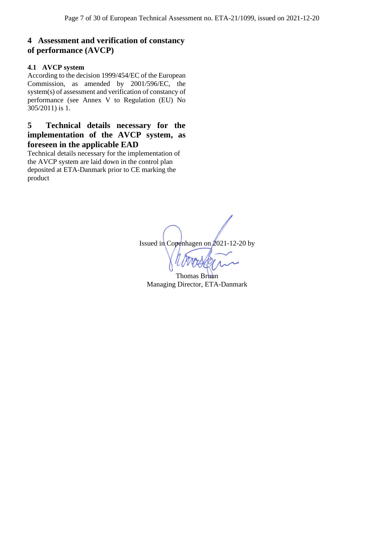# **4 Assessment and verification of constancy of performance (AVCP)**

## **4.1 AVCP system**

According to the decision 1999/454/EC of the European Commission, as amended by 2001/596/EC, the system(s) of assessment and verification of constancy of performance (see Annex V to Regulation (EU) No 305/2011) is 1.

# **5 Technical details necessary for the implementation of the AVCP system, as foreseen in the applicable EAD**

Technical details necessary for the implementation of the AVCP system are laid down in the control plan deposited at ETA-Danmark prior to CE marking the product

Issued in Copenhagen on 2021-12-20 by

Thomas Bruun Managing Director, ETA-Danmark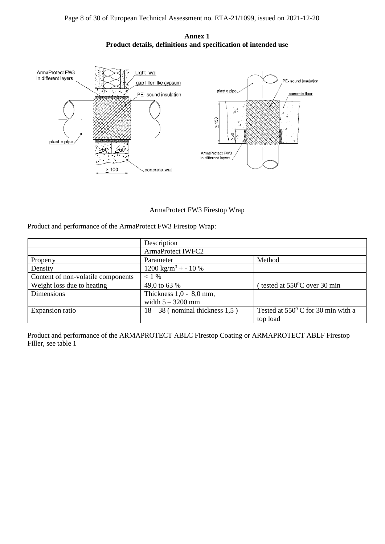



ArmaProtect FW3 Firestop Wrap

Product and performance of the ArmaProtect FW3 Firestop Wrap:

|                                    | Description                       |                                             |
|------------------------------------|-----------------------------------|---------------------------------------------|
|                                    | <b>ArmaProtect IWFC2</b>          |                                             |
| Property                           | Parameter                         | Method                                      |
| Density                            | $1200 \text{ kg/m}^3$ + - 10 %    |                                             |
| Content of non-volatile components | $< 1\%$                           |                                             |
| Weight loss due to heating         | 49,0 to 63 %                      | tested at $550^{\circ}$ C over 30 min       |
| Dimensions                         | Thickness $1,0 - 8,0$ mm,         |                                             |
|                                    | width $5 - 3200$ mm               |                                             |
| Expansion ratio                    | $18 - 38$ (nominal thickness 1,5) | Tested at $550^{\circ}$ C for 30 min with a |
|                                    |                                   | top load                                    |

Product and performance of the ARMAPROTECT ABLC Firestop Coating or ARMAPROTECT ABLF Firestop Filler, see table 1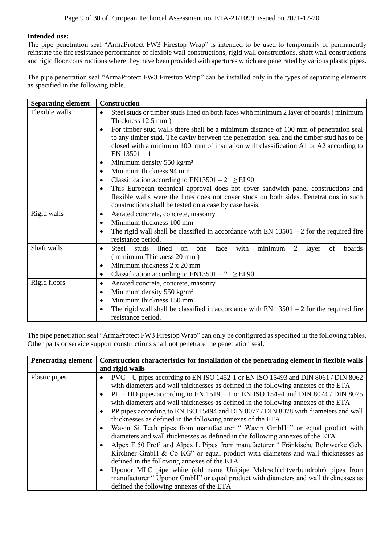## **Intended use:**

The pipe penetration seal "ArmaProtect FW3 Firestop Wrap" is intended to be used to temporarily or permanently reinstate the fire resistance performance of flexible wall constructions, rigid wall constructions, shaft wall constructions and rigid floor constructions where they have been provided with apertures which are penetrated by various plastic pipes.

The pipe penetration seal "ArmaProtect FW3 Firestop Wrap" can be installed only in the types of separating elements as specified in the following table.

| <b>Separating element</b> | <b>Construction</b>                                                                                                                                                                                                                                                                                       |
|---------------------------|-----------------------------------------------------------------------------------------------------------------------------------------------------------------------------------------------------------------------------------------------------------------------------------------------------------|
| Flexible walls            | Steel studs or timber studs lined on both faces with minimum 2 layer of boards (minimum<br>$\bullet$<br>Thickness 12,5 mm)                                                                                                                                                                                |
|                           | For timber stud walls there shall be a minimum distance of 100 mm of penetration seal<br>$\bullet$<br>to any timber stud. The cavity between the penetration seal and the timber stud has to be<br>closed with a minimum 100 mm of insulation with classification A1 or A2 according to<br>EN $13501 - 1$ |
|                           | Minimum density $550 \text{ kg/m}^3$<br>$\bullet$                                                                                                                                                                                                                                                         |
|                           | Minimum thickness 94 mm<br>$\bullet$                                                                                                                                                                                                                                                                      |
|                           | Classification according to $EN13501 - 2$ : $\geq$ EI 90<br>$\bullet$                                                                                                                                                                                                                                     |
|                           | This European technical approval does not cover sandwich panel constructions and<br>$\bullet$                                                                                                                                                                                                             |
|                           | flexible walls were the lines does not cover studs on both sides. Penetrations in such<br>constructions shall be tested on a case by case basis.                                                                                                                                                          |
| Rigid walls               | Aerated concrete, concrete, masonry<br>٠                                                                                                                                                                                                                                                                  |
|                           | Minimum thickness 100 mm<br>$\bullet$                                                                                                                                                                                                                                                                     |
|                           | The rigid wall shall be classified in accordance with EN $13501 - 2$ for the required fire<br>$\bullet$<br>resistance period.                                                                                                                                                                             |
| Shaft walls               | minimum<br><b>Steel</b><br>studs<br>lined<br>face<br>with<br>2<br>boards<br>layer<br>of<br><sub>on</sub><br>one<br>$\bullet$                                                                                                                                                                              |
|                           | (minimum Thickness 20 mm)                                                                                                                                                                                                                                                                                 |
|                           | Minimum thickness 2 x 20 mm<br>٠                                                                                                                                                                                                                                                                          |
|                           | Classification according to EN13501 – $2 : \geq$ EI 90<br>$\bullet$                                                                                                                                                                                                                                       |
| Rigid floors              | Aerated concrete, concrete, masonry<br>٠                                                                                                                                                                                                                                                                  |
|                           | Minimum density 550 kg/m <sup>3</sup><br>$\bullet$                                                                                                                                                                                                                                                        |
|                           | Minimum thickness 150 mm<br>$\bullet$                                                                                                                                                                                                                                                                     |
|                           | The rigid wall shall be classified in accordance with EN $13501 - 2$ for the required fire<br>$\bullet$                                                                                                                                                                                                   |
|                           | resistance period.                                                                                                                                                                                                                                                                                        |

The pipe penetration seal "ArmaProtect FW3 Firestop Wrap" can only be configured as specified in the following tables. Other parts or service support constructions shall not penetrate the penetration seal.

| <b>Penetrating element</b> | Construction characteristics for installation of the penetrating element in flexible walls                                                                                                                                                                                                                                                                                                                                                                                                                                                                                                                                                                                                                                                                                                                                                                                                                                                                                                                                                                                                                                                                  |  |
|----------------------------|-------------------------------------------------------------------------------------------------------------------------------------------------------------------------------------------------------------------------------------------------------------------------------------------------------------------------------------------------------------------------------------------------------------------------------------------------------------------------------------------------------------------------------------------------------------------------------------------------------------------------------------------------------------------------------------------------------------------------------------------------------------------------------------------------------------------------------------------------------------------------------------------------------------------------------------------------------------------------------------------------------------------------------------------------------------------------------------------------------------------------------------------------------------|--|
|                            | and rigid walls                                                                                                                                                                                                                                                                                                                                                                                                                                                                                                                                                                                                                                                                                                                                                                                                                                                                                                                                                                                                                                                                                                                                             |  |
| Plastic pipes              | PVC – U pipes according to EN ISO 1452-1 or EN ISO 15493 and DIN 8061 / DIN 8062<br>٠<br>with diameters and wall thicknesses as defined in the following annexes of the ETA<br>$PE - HD$ pipes according to EN 1519 – 1 or EN ISO 15494 and DIN 8074 / DIN 8075<br>$\bullet$<br>with diameters and wall thicknesses as defined in the following annexes of the ETA<br>PP pipes according to EN ISO 15494 and DIN 8077 / DIN 8078 with diameters and wall<br>$\bullet$<br>thicknesses as defined in the following annexes of the ETA<br>Wavin Si Tech pipes from manufacturer "Wavin GmbH" or equal product with<br>٠<br>diameters and wall thicknesses as defined in the following annexes of the ETA<br>Alpex F 50 Profi and Alpex L Pipes from manufacturer "Fränkische Rohrwerke Geb.<br>$\bullet$<br>Kirchner GmbH & Co KG" or equal product with diameters and wall thicknesses as<br>defined in the following annexes of the ETA<br>Uponor MLC pipe white (old name Unipipe Mehrschichtverbundrohr) pipes from<br>٠<br>manufacturer "Uponor GmbH" or equal product with diameters and wall thicknesses as<br>defined the following annexes of the ETA |  |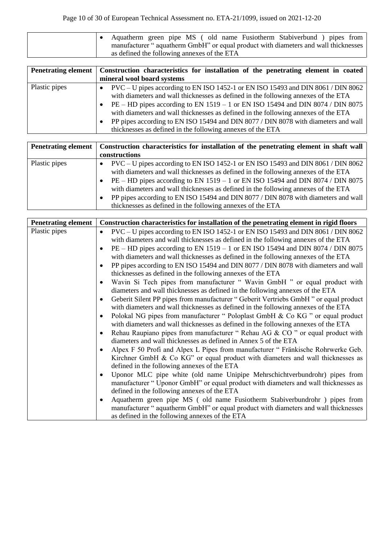| Aquatherm green pipe MS (old name Fusiotherm Stabiverbund) pipes from              |
|------------------------------------------------------------------------------------|
| manufacturer "aquatherm GmbH" or equal product with diameters and wall thicknesses |
| as defined the following annexes of the ETA                                        |

|               | Penetrating element   Construction characteristics for installation of the penetrating element in coated<br>mineral wool board systems                                                                                                                                                                                                                                                                                                                                                               |
|---------------|------------------------------------------------------------------------------------------------------------------------------------------------------------------------------------------------------------------------------------------------------------------------------------------------------------------------------------------------------------------------------------------------------------------------------------------------------------------------------------------------------|
| Plastic pipes | PVC – U pipes according to EN ISO 1452-1 or EN ISO 15493 and DIN 8061 / DIN 8062<br>with diameters and wall thicknesses as defined in the following annexes of the ETA<br>$PE - HD$ pipes according to EN 1519 – 1 or EN ISO 15494 and DIN 8074 / DIN 8075<br>with diameters and wall thicknesses as defined in the following annexes of the ETA<br>PP pipes according to EN ISO 15494 and DIN 8077 / DIN 8078 with diameters and wall<br>thicknesses as defined in the following annexes of the ETA |

|               | Penetrating element   Construction characteristics for installation of the penetrating element in shaft wall                                                                                                                                                                                                                                                                                                                                                                                            |
|---------------|---------------------------------------------------------------------------------------------------------------------------------------------------------------------------------------------------------------------------------------------------------------------------------------------------------------------------------------------------------------------------------------------------------------------------------------------------------------------------------------------------------|
|               | constructions                                                                                                                                                                                                                                                                                                                                                                                                                                                                                           |
| Plastic pipes | $PVC-U$ pipes according to EN ISO 1452-1 or EN ISO 15493 and DIN 8061 / DIN 8062<br>with diameters and wall thicknesses as defined in the following annexes of the ETA<br>PE – HD pipes according to EN 1519 – 1 or EN ISO 15494 and DIN 8074 / DIN 8075<br>with diameters and wall thicknesses as defined in the following annexes of the ETA<br>PP pipes according to EN ISO 15494 and DIN 8077 / DIN 8078 with diameters and wall<br>٠<br>thicknesses as defined in the following annexes of the ETA |

| <b>Penetrating element</b> | Construction characteristics for installation of the penetrating element in rigid floors      |
|----------------------------|-----------------------------------------------------------------------------------------------|
| Plastic pipes              | PVC – U pipes according to EN ISO 1452-1 or EN ISO 15493 and DIN 8061 / DIN 8062<br>$\bullet$ |
|                            | with diameters and wall thicknesses as defined in the following annexes of the ETA            |
|                            | PE – HD pipes according to EN 1519 – 1 or EN ISO 15494 and DIN 8074 / DIN 8075                |
|                            | with diameters and wall thicknesses as defined in the following annexes of the ETA            |
|                            | PP pipes according to EN ISO 15494 and DIN 8077 / DIN 8078 with diameters and wall            |
|                            | thicknesses as defined in the following annexes of the ETA                                    |
|                            | Wavin Si Tech pipes from manufacturer "Wavin GmbH" or equal product with                      |
|                            | diameters and wall thicknesses as defined in the following annexes of the ETA                 |
|                            | Geberit Silent PP pipes from manufacturer "Geberit Vertriebs GmbH" or equal product           |
|                            | with diameters and wall thicknesses as defined in the following annexes of the ETA            |
|                            | Polokal NG pipes from manufacturer "Poloplast GmbH & Co KG" or equal product<br>٠             |
|                            | with diameters and wall thicknesses as defined in the following annexes of the ETA            |
|                            | Rehau Raupiano pipes from manufacturer "Rehau AG & CO" or equal product with<br>٠             |
|                            | diameters and wall thicknesses as defined in Annex 5 of the ETA                               |
|                            | Alpex F 50 Profi and Alpex L Pipes from manufacturer "Fränkische Rohrwerke Geb.<br>$\bullet$  |
|                            | Kirchner GmbH & Co KG" or equal product with diameters and wall thicknesses as                |
|                            | defined in the following annexes of the ETA                                                   |
|                            | Uponor MLC pipe white (old name Unipipe Mehrschichtverbundrohr) pipes from                    |
|                            | manufacturer "Uponor GmbH" or equal product with diameters and wall thicknesses as            |
|                            | defined in the following annexes of the ETA                                                   |
|                            | Aquatherm green pipe MS (old name Fusiotherm Stabiverbundrohr) pipes from<br>٠                |
|                            | manufacturer "aquatherm GmbH" or equal product with diameters and wall thicknesses            |
|                            | as defined in the following annexes of the ETA                                                |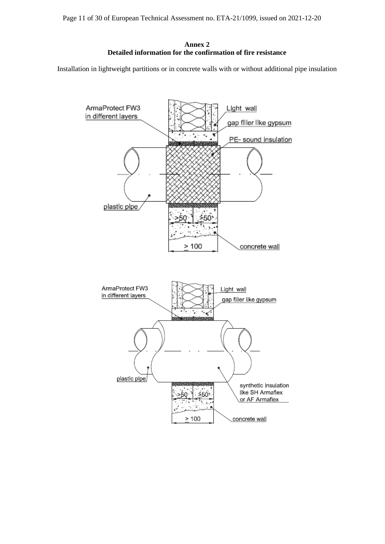**Annex 2 Detailed information for the confirmation of fire resistance** 

Installation in lightweight partitions or in concrete walls with or without additional pipe insulation

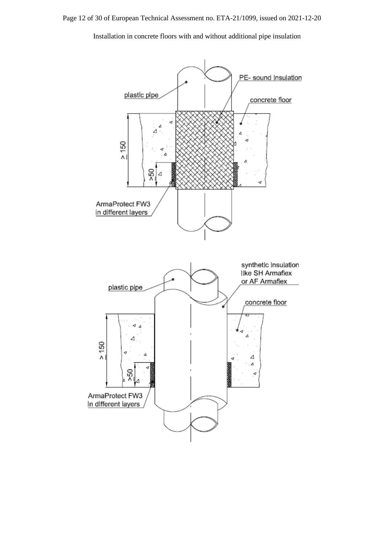Installation in concrete floors with and without additional pipe insulation

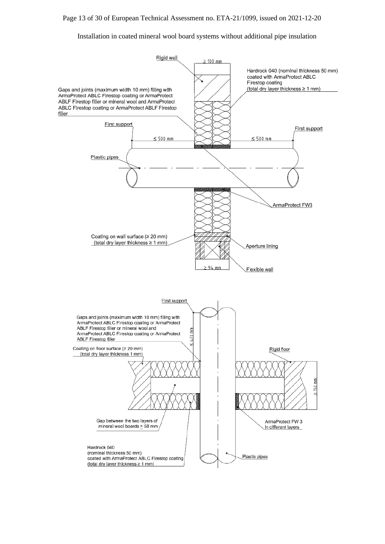#### Installation in coated mineral wool board systems without additional pipe insulation

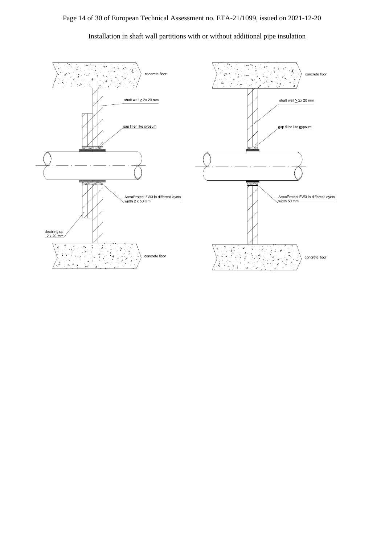

Installation in shaft wall partitions with or without additional pipe insulation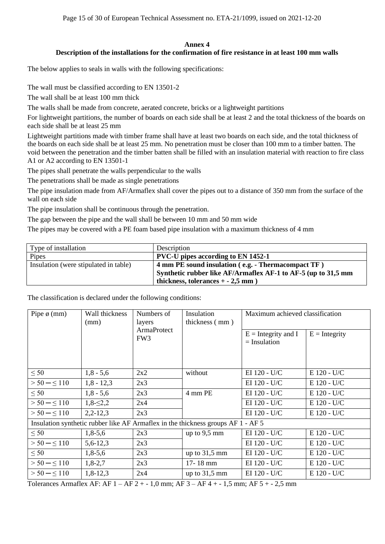## **Annex 4**

## **Description of the installations for the confirmation of fire resistance in at least 100 mm walls**

The below applies to seals in walls with the following specifications:

The wall must be classified according to EN 13501-2

The wall shall be at least 100 mm thick

The walls shall be made from concrete, aerated concrete, bricks or a lightweight partitions

For lightweight partitions, the number of boards on each side shall be at least 2 and the total thickness of the boards on each side shall be at least 25 mm

Lightweight partitions made with timber frame shall have at least two boards on each side, and the total thickness of the boards on each side shall be at least 25 mm. No penetration must be closer than 100 mm to a timber batten. The void between the penetration and the timber batten shall be filled with an insulation material with reaction to fire class A1 or A2 according to EN 13501-1

The pipes shall penetrate the walls perpendicular to the walls

The penetrations shall be made as single penetrations

The pipe insulation made from AF/Armaflex shall cover the pipes out to a distance of 350 mm from the surface of the wall on each side

The pipe insulation shall be continuous through the penetration.

The gap between the pipe and the wall shall be between 10 mm and 50 mm wide

The pipes may be covered with a PE foam based pipe insulation with a maximum thickness of 4 mm

| Type of installation                  | Description                                                   |
|---------------------------------------|---------------------------------------------------------------|
| Pipes                                 | <b>PVC-U</b> pipes according to EN 1452-1                     |
| Insulation (were stipulated in table) | 4 mm PE sound insulation (e.g. - Thermacompact TF)            |
|                                       | Synthetic rubber like AF/Armaflex AF-1 to AF-5 (up to 31,5 mm |
|                                       | thickness, tolerances $+ -2.5$ mm)                            |

## The classification is declared under the following conditions:

| Pipe $\phi$ (mm)  | Wall thickness<br>Numbers of<br>(mm)<br>layers<br>ArmaProtect<br>FW <sub>3</sub> |     | Insulation<br>thickness (mm)                                                     |                 | Maximum achieved classification |  |
|-------------------|----------------------------------------------------------------------------------|-----|----------------------------------------------------------------------------------|-----------------|---------------------------------|--|
|                   |                                                                                  |     | $E =$ Integrity and I<br>$=$ Insulation                                          | $E =$ Integrity |                                 |  |
| $\leq 50$         | $1,8 - 5,6$                                                                      | 2x2 | without                                                                          | EI 120 - U/C    | $E$ 120 - U/C                   |  |
| $> 50 - \leq 110$ | $1,8 - 12,3$                                                                     | 2x3 |                                                                                  | EI 120 - U/C    | E 120 - U/C                     |  |
| $\leq 50$         | $1,8 - 5,6$                                                                      | 2x3 | 4 mm PE                                                                          | EI 120 - U/C    | $E$ 120 - U/C                   |  |
| $> 50 - \leq 110$ | $1,8-\leq 2,2$                                                                   | 2x4 |                                                                                  | EI 120 - U/C    | E 120 - U/C                     |  |
| $> 50 - \le 110$  | $2,2-12,3$                                                                       | 2x3 |                                                                                  | EI 120 - U/C    | $E$ 120 - U/C                   |  |
|                   |                                                                                  |     | Insulation synthetic rubber like AF Armaflex in the thickness groups AF 1 - AF 5 |                 |                                 |  |
| $\leq 50$         | $1,8-5,6$                                                                        | 2x3 | up to $9,5$ mm                                                                   | EI 120 - U/C    | E 120 - U/C                     |  |
| $> 50 - \le 110$  | $5,6-12,3$                                                                       | 2x3 |                                                                                  | EI 120 - U/C    | $E$ 120 - U/C                   |  |
| $\leq 50$         | $1,8-5,6$                                                                        | 2x3 | up to $31,5$ mm                                                                  | EI 120 - U/C    | E 120 - U/C                     |  |
| $> 50 - \leq 110$ | $1,8-2,7$                                                                        | 2x3 | 17-18 mm                                                                         | EI 120 - U/C    | E 120 - U/C                     |  |
| $> 50 - \leq 110$ | $1,8-12,3$                                                                       | 2x4 | up to $31,5$ mm                                                                  | EI 120 - U/C    | E 120 - U/C                     |  |

Tolerances Armaflex AF: AF 1 – AF 2 + - 1,0 mm; AF 3 – AF 4 + - 1,5 mm; AF 5 + - 2,5 mm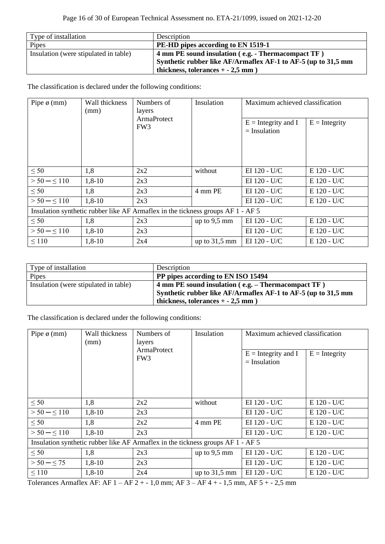| Type of installation                  | Description                                                   |
|---------------------------------------|---------------------------------------------------------------|
| Pipes                                 | PE-HD pipes according to EN 1519-1                            |
| Insulation (were stipulated in table) | 4 mm PE sound insulation (e.g. - Thermacompact TF)            |
|                                       | Synthetic rubber like AF/Armaflex AF-1 to AF-5 (up to 31,5 mm |
|                                       | thickness, tolerances $+ -2.5$ mm                             |

| Pipe $\phi$ (mm)                                                                | Wall thickness<br>Numbers of<br>(mm)<br>layers | Insulation                            | Maximum achieved classification |                                         |                 |
|---------------------------------------------------------------------------------|------------------------------------------------|---------------------------------------|---------------------------------|-----------------------------------------|-----------------|
|                                                                                 |                                                | <b>ArmaProtect</b><br>FW <sub>3</sub> |                                 | $E =$ Integrity and I<br>$=$ Insulation | $E =$ Integrity |
| $\leq 50$                                                                       | 1,8                                            | 2x2                                   | without                         | EI 120 - U/C                            | $E$ 120 - U/C   |
| $> 50 - \le 110$                                                                | $1,8-10$                                       | 2x3                                   |                                 | EI 120 - U/C                            | E 120 - U/C     |
| $\leq 50$                                                                       | 1,8                                            | 2x3                                   | 4 mm PE                         | EI 120 - U/C                            | $E$ 120 - U/C   |
| $> 50 - \leq 110$                                                               | $1,8-10$                                       | 2x3                                   |                                 | EI 120 - U/C                            | $E$ 120 - U/C   |
| Insulation synthetic rubber like AF Armaflex in the tickness groups AF 1 - AF 5 |                                                |                                       |                                 |                                         |                 |
| $\leq 50$                                                                       | 1,8                                            | 2x3                                   | up to $9,5$ mm                  | EI 120 - U/C                            | E 120 - U/C     |
| $> 50 - \le 110$                                                                | $1,8-10$                                       | 2x3                                   |                                 | EI 120 - U/C                            | E 120 - U/C     |
| $\leq 110$                                                                      | $1,8-10$                                       | 2x4                                   | up to $31,5 \text{ mm}$         | EI 120 - U/C                            | E 120 - U/C     |

| Type of installation                  | Description                                                   |
|---------------------------------------|---------------------------------------------------------------|
| Pipes                                 | PP pipes according to EN ISO 15494                            |
| Insulation (were stipulated in table) | 4 mm PE sound insulation (e.g. – Thermacompact TF)            |
|                                       | Synthetic rubber like AF/Armaflex AF-1 to AF-5 (up to 31,5 mm |
|                                       | thickness, tolerances $+ -2.5$ mm                             |

The classification is declared under the following conditions:

| Pipe $\phi$ (mm)                                                                | Wall thickness<br>(mm) | Numbers of<br>layers<br><b>ArmaProtect</b><br>FW <sub>3</sub> | Insulation      | Maximum achieved classification         |                 |
|---------------------------------------------------------------------------------|------------------------|---------------------------------------------------------------|-----------------|-----------------------------------------|-----------------|
|                                                                                 |                        |                                                               |                 | $E =$ Integrity and I<br>$=$ Insulation | $E =$ Integrity |
| $\leq 50$                                                                       | 1,8                    | 2x2                                                           | without         | EI 120 - U/C                            | E 120 - U/C     |
| $> 50 - \le 110$                                                                | $1,8-10$               | 2x3                                                           |                 | EI 120 - U/C                            | E 120 - U/C     |
| $\leq 50$                                                                       | 1,8                    | 2x2                                                           | 4 mm PE         | EI 120 - U/C                            | E 120 - U/C     |
| $> 50 - \leq 110$                                                               | $1,8-10$               | 2x3                                                           |                 | EI 120 - U/C                            | E 120 - U/C     |
| Insulation synthetic rubber like AF Armaflex in the tickness groups AF 1 - AF 5 |                        |                                                               |                 |                                         |                 |
| $\leq 50$                                                                       | 1,8                    | 2x3                                                           | up to $9,5$ mm  | EI 120 - U/C                            | E 120 - U/C     |
| $> 50 - \leq 75$                                                                | $1,8-10$               | 2x3                                                           |                 | EI 120 - U/C                            | E 120 - U/C     |
| $\leq 110$                                                                      | $1,8-10$               | 2x4                                                           | up to $31,5$ mm | EI 120 - U/C                            | E 120 - U/C     |

Tolerances Armaflex AF: AF 1 – AF 2 + - 1,0 mm; AF 3 – AF 4 + - 1,5 mm, AF 5 + - 2,5 mm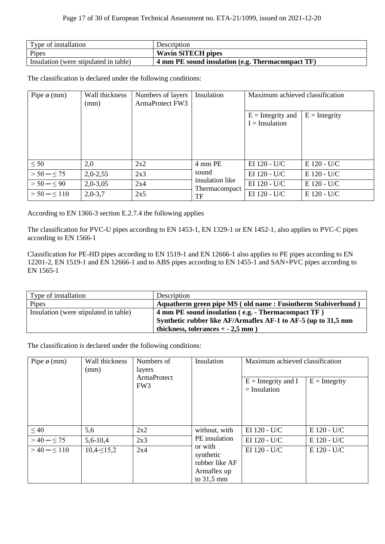| Type of installation                  | Description                                      |
|---------------------------------------|--------------------------------------------------|
| Pipes                                 | <b>Wavin SiTECH pipes</b>                        |
| Insulation (were stipulated in table) | 4 mm PE sound insulation (e.g. Thermacompact TF) |

| Pipe $\phi$ (mm)  | Wall thickness<br>(mm) | Numbers of layers<br><b>ArmaProtect FW3</b> | Insulation                       | Maximum achieved classification         |                 |
|-------------------|------------------------|---------------------------------------------|----------------------------------|-----------------------------------------|-----------------|
|                   |                        |                                             |                                  | $E =$ Integrity and<br>$I = Insulation$ | $E =$ Integrity |
| $\leq 50$         | 2,0                    | 2x2                                         | 4 mm PE                          | EI 120 - U/C                            | E 120 - U/C     |
| $> 50 - \leq 75$  | $2,0-2,55$             | 2x3                                         | sound                            | EI 120 - U/C                            | E 120 - U/C     |
| $> 50 - \leq 90$  | $2,0-3,05$             | 2x4                                         | insulation like<br>Thermacompact | EI 120 - U/C                            | E 120 - U/C     |
| $> 50 - \leq 110$ | $2,0-3,7$              | 2x5                                         | TF                               | EI 120 - U/C                            | E 120 - U/C     |

According to EN 1366-3 section E.2.7.4 the following applies

The classification for PVC-U pipes according to EN 1453-1, EN 1329-1 or EN 1452-1, also applies to PVC-C pipes according to EN 1566-1

Classification for PE-HD pipes according to EN 1519-1 and EN 12666-1 also applies to PE pipes according to EN 12201-2, EN 1519-1 and EN 12666-1 and to ABS pipes according to EN 1455-1 and SAN+PVC pipes according to EN 1565-1

| Type of installation                  | Description                                                   |
|---------------------------------------|---------------------------------------------------------------|
| Pipes                                 | Aquatherm green pipe MS (old name: Fusiotherm Stabiverbund)   |
| Insulation (were stipulated in table) | 4 mm PE sound insulation (e.g. - Thermacompact TF)            |
|                                       | Synthetic rubber like AF/Armaflex AF-1 to AF-5 (up to 31,5 mm |
|                                       | thickness, tolerances $+ -2.5$ mm                             |

| Wall thickness<br>Pipe $\phi$ (mm)<br>(mm)<br>layers | Numbers of       | Insulation                     | Maximum achieved classification                                               |                                         |                 |
|------------------------------------------------------|------------------|--------------------------------|-------------------------------------------------------------------------------|-----------------------------------------|-----------------|
|                                                      |                  | ArmaProtect<br>FW <sub>3</sub> |                                                                               | $E =$ Integrity and I<br>$=$ Insulation | $E =$ Integrity |
| $\leq 40$                                            | 5,6              | 2x2                            | without, with                                                                 | EI 120 - U/C                            | E 120 - U/C     |
| $>40 - 5.75$                                         | 5,6-10,4         | 2x3                            | PE insulation                                                                 | EI 120 - U/C                            | $E$ 120 - U/C   |
| $>40 - \le 110$                                      | $10,4-\leq 15,2$ | 2x4                            | or with<br>synthetic<br>rubber like AF<br>Armaflex up<br>to $31,5 \text{ mm}$ | EI 120 - U/C                            | E 120 - U/C     |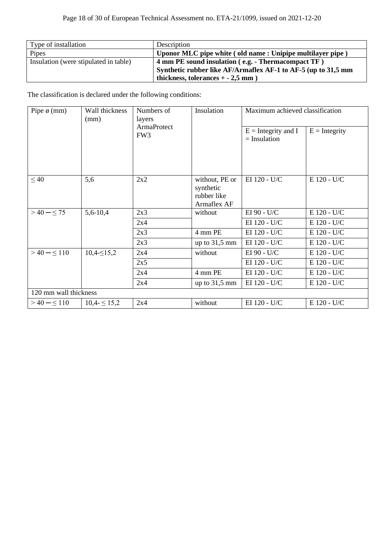| Type of installation                  | Description                                                   |
|---------------------------------------|---------------------------------------------------------------|
| Pipes                                 | Uponor MLC pipe white (old name: Unipipe multilayer pipe)     |
| Insulation (were stipulated in table) | 4 mm PE sound insulation (e.g. - Thermacompact TF)            |
|                                       | Synthetic rubber like AF/Armaflex AF-1 to AF-5 (up to 31,5 mm |
|                                       | thickness, tolerances $+ -2,5$ mm)                            |

| Wall thickness<br>Numbers of<br>Pipe $\phi$ (mm)<br>(mm)<br>layers<br><b>ArmaProtect</b><br>FW3 |                  |                                         | Insulation                                                | Maximum achieved classification |             |
|-------------------------------------------------------------------------------------------------|------------------|-----------------------------------------|-----------------------------------------------------------|---------------------------------|-------------|
|                                                                                                 |                  | $E =$ Integrity and I<br>$=$ Insulation | $E =$ Integrity                                           |                                 |             |
| $\leq 40$                                                                                       | 5,6              | 2x2                                     | without, PE or<br>synthetic<br>rubber like<br>Armaflex AF | EI 120 - U/C                    | E 120 - U/C |
| $>40 - 55$                                                                                      | $5,6-10,4$       | 2x3                                     | without                                                   | EI 90 - U/C                     | E 120 - U/C |
|                                                                                                 |                  | 2x4                                     |                                                           | EI 120 - U/C                    | E 120 - U/C |
|                                                                                                 |                  | 2x3                                     | 4 mm PE                                                   | EI 120 - U/C                    | E 120 - U/C |
|                                                                                                 |                  | 2x3                                     | up to $31,5$ mm                                           | EI 120 - U/C                    | E 120 - U/C |
| $>40 - 5110$                                                                                    | $10,4-\leq 15,2$ | 2x4                                     | without                                                   | EI 90 - U/C                     | E 120 - U/C |
|                                                                                                 |                  | 2x5                                     |                                                           | EI 120 - U/C                    | E 120 - U/C |
|                                                                                                 |                  | 2x4                                     | 4 mm PE                                                   | EI 120 - U/C                    | E 120 - U/C |
|                                                                                                 |                  | 2x4                                     | up to $31,5$ mm                                           | EI 120 - U/C                    | E 120 - U/C |
| 120 mm wall thickness                                                                           |                  |                                         |                                                           |                                 |             |
| $>40 - 5110$                                                                                    | $10,4 \leq 15,2$ | 2x4                                     | without                                                   | EI 120 - U/C                    | E 120 - U/C |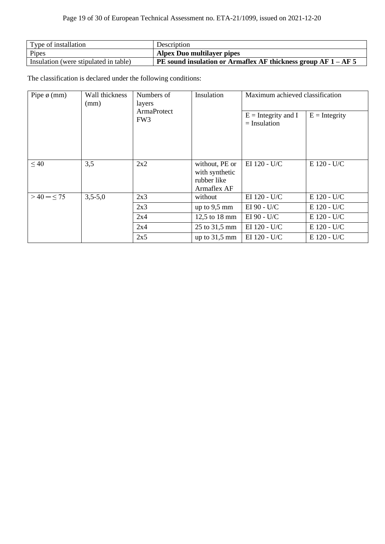# Page 19 of 30 of European Technical Assessment no. ETA-21/1099, issued on 2021-12-20

| Type of installation                  | Description                                                      |
|---------------------------------------|------------------------------------------------------------------|
| Pipes                                 | <b>Alpex Duo multilayer pipes</b>                                |
| Insulation (were stipulated in table) | PE sound insulation or Armaflex AF thickness group $AF 1 - AF 5$ |

| Wall thickness<br>Pipe $\phi$ (mm)<br>(mm) | Numbers of<br>layers           | Insulation | Maximum achieved classification                                |                 |             |
|--------------------------------------------|--------------------------------|------------|----------------------------------------------------------------|-----------------|-------------|
|                                            | ArmaProtect<br>FW <sub>3</sub> |            | $E =$ Integrity and I<br>$=$ Insulation                        | $E =$ Integrity |             |
| $\leq 40$                                  | 3,5                            | 2x2        | without, PE or<br>with synthetic<br>rubber like<br>Armaflex AF | EI 120 - U/C    | E 120 - U/C |
| $>40 - 55$                                 | $3,5-5,0$                      | 2x3        | without                                                        | EI 120 - U/C    | E 120 - U/C |
|                                            |                                | 2x3        | up to $9,5$ mm                                                 | EI 90 - U/C     | E 120 - U/C |
|                                            |                                | 2x4        | 12,5 to 18 mm                                                  | EI 90 - U/C     | E 120 - U/C |
|                                            |                                | 2x4        | 25 to 31,5 mm                                                  | EI 120 - U/C    | E 120 - U/C |
|                                            |                                | 2x5        | up to $31,5$ mm                                                | EI 120 - U/C    | E 120 - U/C |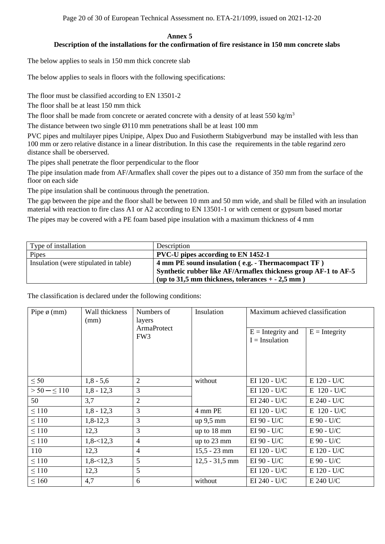Page 20 of 30 of European Technical Assessment no. ETA-21/1099, issued on 2021-12-20

#### **Annex 5 Description of the installations for the confirmation of fire resistance in 150 mm concrete slabs**

The below applies to seals in 150 mm thick concrete slab

The below applies to seals in floors with the following specifications:

The floor must be classified according to EN 13501-2

The floor shall be at least 150 mm thick

The floor shall be made from concrete or aerated concrete with a density of at least 550 kg/m<sup>3</sup>

The distance between two single Ø110 mm penetrations shall be at least 100 mm

PVC pipes and multilayer pipes Unipipe, Alpex Duo and Fusiotherm Stabigverbund may be installed with less than 100 mm or zero relative distance in a linear distribution. In this case the requirements in the table regarind zero distance shall be oberserved.

The pipes shall penetrate the floor perpendicular to the floor

The pipe insulation made from AF/Armaflex shall cover the pipes out to a distance of 350 mm from the surface of the floor on each side

The pipe insulation shall be continuous through the penetration.

The gap between the pipe and the floor shall be between 10 mm and 50 mm wide, and shall be filled with an insulation material with reaction to fire class A1 or A2 according to EN 13501-1 or with cement or gypsum based mortar

The pipes may be covered with a PE foam based pipe insulation with a maximum thickness of 4 mm

| Type of installation                  | Description                                                    |
|---------------------------------------|----------------------------------------------------------------|
| Pipes                                 | <b>PVC-U</b> pipes according to EN 1452-1                      |
| Insulation (were stipulated in table) | 4 mm PE sound insulation (e.g. - Thermacompact TF)             |
|                                       | Synthetic rubber like AF/Armaflex thickness group AF-1 to AF-5 |
|                                       | (up to 31,5 mm thickness, tolerances $+ -2.5$ mm)              |

| Pipe $\phi$ (mm)               | Wall thickness<br>(mm) | Numbers of<br>layers                    | Insulation       | Maximum achieved classification |               |
|--------------------------------|------------------------|-----------------------------------------|------------------|---------------------------------|---------------|
| ArmaProtect<br>FW <sub>3</sub> |                        | $E =$ Integrity and<br>$I = Insulation$ | $E =$ Integrity  |                                 |               |
| $\leq 50$                      | $1,8 - 5,6$            | $\overline{2}$                          | without          | EI 120 - U/C                    | E 120 - U/C   |
| $> 50 - \leq 110$              | $1,8 - 12,3$           | 3                                       |                  | EI 120 - U/C                    | E 120 - U/C   |
| 50                             | 3,7                    | 2                                       |                  | EI 240 - U/C                    | $E 240 - U/C$ |
| $\leq 110$                     | $1,8 - 12,3$           | $\overline{3}$                          | 4 mm PE          | EI 120 - U/C                    | E 120 - U/C   |
| $\leq 110$                     | $1,8-12,3$             | 3                                       | $up\ 9,5$ mm     | EI 90 - U/C                     | E 90 - U/C    |
| $\leq 110$                     | 12,3                   | 3                                       | up to 18 mm      | EI 90 - U/C                     | E 90 - U/C    |
| $\leq 110$                     | $1,8 - 12,3$           | $\overline{4}$                          | up to 23 mm      | EI 90 - U/C                     | $E$ 90 - U/C  |
| 110                            | 12,3                   | $\overline{4}$                          | $15,5 - 23$ mm   | EI 120 - U/C                    | E 120 - U/C   |
| $\leq 110$                     | $1,8 - 12,3$           | 5                                       | $12,5 - 31,5$ mm | EI 90 - U/C                     | $E$ 90 - U/C  |
| $\leq 110$                     | 12,3                   | 5                                       |                  | EI 120 - U/C                    | E 120 - U/C   |
| $\leq 160$                     | 4,7                    | 6                                       | without          | EI 240 - U/C                    | E 240 U/C     |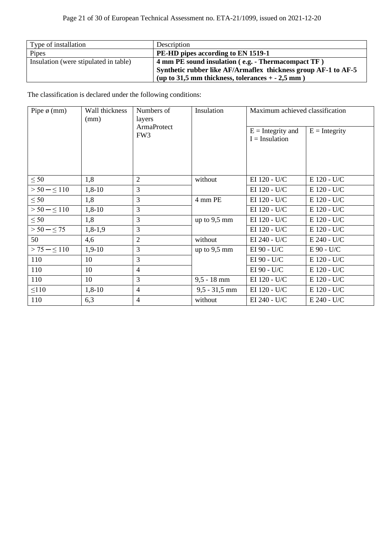| Type of installation                  | Description                                                    |
|---------------------------------------|----------------------------------------------------------------|
| Pipes                                 | PE-HD pipes according to EN 1519-1                             |
| Insulation (were stipulated in table) | 4 mm PE sound insulation (e.g. - Thermacompact TF)             |
|                                       | Synthetic rubber like AF/Armaflex thickness group AF-1 to AF-5 |
|                                       | (up to 31,5 mm thickness, tolerances $+ -2.5$ mm)              |

| Pipe $\phi$ (mm)  | Wall thickness<br>Numbers of<br>(mm)<br>layers |                                | Insulation      | Maximum achieved classification         |                 |
|-------------------|------------------------------------------------|--------------------------------|-----------------|-----------------------------------------|-----------------|
|                   |                                                | ArmaProtect<br>FW <sub>3</sub> |                 | $E =$ Integrity and<br>$I = Insulation$ | $E =$ Integrity |
| $\leq 50$         | 1,8                                            | 2                              | without         | EI 120 - U/C                            | E 120 - U/C     |
| $> 50 - \leq 110$ | $1,8-10$                                       | 3                              |                 | EI 120 - U/C                            | E 120 - U/C     |
| $\leq 50$         | 1,8                                            | 3                              | 4 mm PE         | EI 120 - U/C                            | E 120 - U/C     |
| $> 50 - \leq 110$ | $1,8-10$                                       | 3                              |                 | EI 120 - U/C                            | E 120 - U/C     |
| $\leq 50$         | 1,8                                            | 3                              | up to $9,5$ mm  | EI 120 - U/C                            | E 120 - U/C     |
| $> 50 - \leq 75$  | $1,8-1,9$                                      | 3                              |                 | EI 120 - U/C                            | E 120 - U/C     |
| 50                | 4,6                                            | $\overline{2}$                 | without         | EI 240 - U/C                            | E 240 - U/C     |
| $> 75 - 5110$     | $1,9-10$                                       | 3                              | up to $9,5$ mm  | EI 90 - U/C                             | $E$ 90 - U/C    |
| 110               | 10                                             | 3                              |                 | EI 90 - U/C                             | E 120 - U/C     |
| 110               | 10                                             | $\overline{4}$                 |                 | EI 90 - U/C                             | E 120 - U/C     |
| 110               | 10                                             | 3                              | $9,5 - 18$ mm   | EI 120 - U/C                            | E 120 - U/C     |
| $\leq 110$        | $1,8-10$                                       | $\overline{4}$                 | $9,5 - 31,5$ mm | EI 120 - U/C                            | E 120 - U/C     |
| 110               | 6,3                                            | $\overline{4}$                 | without         | EI 240 - U/C                            | $E 240 - U/C$   |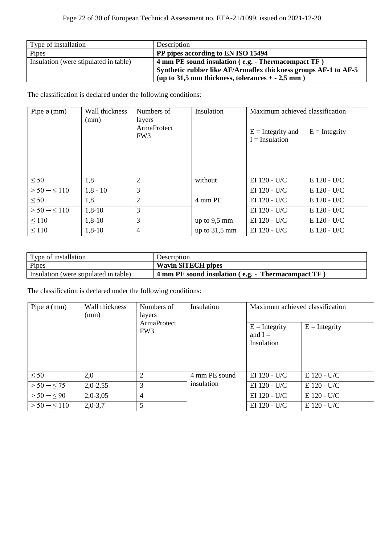| Type of installation                  | Description                                                     |
|---------------------------------------|-----------------------------------------------------------------|
| Pipes                                 | PP pipes according to EN ISO 15494                              |
| Insulation (were stipulated in table) | 4 mm PE sound insulation (e.g. - Thermacompact TF)              |
|                                       | Synthetic rubber like AF/Armaflex thickness groups AF-1 to AF-5 |
|                                       | (up to 31,5 mm thickness, tolerances $+ -2.5$ mm)               |

| Pipe $\phi$ (mm)  | Wall thickness<br>Numbers of<br>(mm)<br>layers |                                       | Insulation      | Maximum achieved classification         |                 |
|-------------------|------------------------------------------------|---------------------------------------|-----------------|-----------------------------------------|-----------------|
|                   |                                                | <b>ArmaProtect</b><br>FW <sub>3</sub> |                 | $E =$ Integrity and<br>$I = Insulation$ | $E =$ Integrity |
| $\leq 50$         | 1,8                                            | $\overline{2}$                        | without         | EI 120 - U/C                            | $E$ 120 - U/C   |
| $> 50 - \leq 110$ | $1,8 - 10$                                     | 3                                     |                 | EI 120 - U/C                            | $E$ 120 - U/C   |
| $\leq 50$         | 1,8                                            | $\overline{2}$                        | 4 mm PE         | EI 120 - U/C                            | $E$ 120 - U/C   |
| $> 50 - \le 110$  | $1,8-10$                                       | 3                                     |                 | EI 120 - U/C                            | $E$ 120 - U/C   |
| $\leq 110$        | $1,8-10$                                       | 3                                     | up to $9,5$ mm  | EI 120 - U/C                            | $E$ 120 - U/C   |
| $\leq 110$        | $1,8-10$                                       | 4                                     | up to $31,5$ mm | EI 120 - U/C                            | $E$ 120 - U/C   |

| Type of installation                  | Description                                                      |
|---------------------------------------|------------------------------------------------------------------|
| Pipes                                 | <b>Wavin SiTECH pipes</b>                                        |
| Insulation (were stipulated in table) | $\frac{1}{2}$ 4 mm PE sound insulation (e.g. - Thermacompact TF) |

| Pipe $\phi$ (mm) | Wall thickness<br>(mm)<br>layers | Numbers of                     | Insulation    | Maximum achieved classification            |                 |
|------------------|----------------------------------|--------------------------------|---------------|--------------------------------------------|-----------------|
|                  |                                  | ArmaProtect<br>FW <sub>3</sub> |               | $E =$ Integrity<br>and $I =$<br>Insulation | $E =$ Integrity |
| $\leq 50$        | 2,0                              | $\overline{2}$                 | 4 mm PE sound | EI 120 - U/C                               | E 120 - U/C     |
| $> 50 - \leq 75$ | $2,0-2,55$                       | 3                              | insulation    | EI 120 - U/C                               | $E$ 120 - U/C   |
| $> 50 - \leq 90$ | $2,0-3,05$                       | $\overline{4}$                 |               | EI 120 - U/C                               | $E$ 120 - U/C   |
| $> 50 - \le 110$ | $2,0-3,7$                        | 5                              |               | EI 120 - U/C                               | $E$ 120 - U/C   |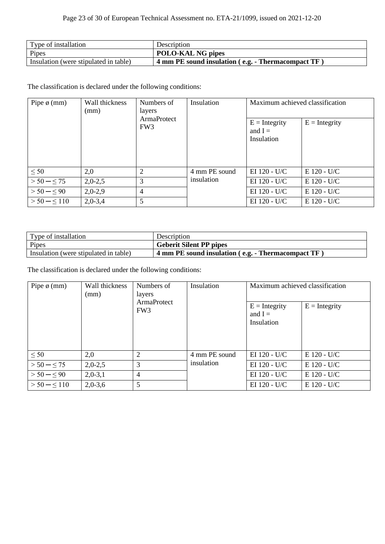| Type of installation                  | Description                                           |
|---------------------------------------|-------------------------------------------------------|
| Pipes                                 | <b>POLO-KAL NG pipes</b>                              |
| Insulation (were stipulated in table) | $+4$ mm PE sound insulation (e.g. - Thermacompact TF) |

| Pipe $\phi$ (mm)  | Wall thickness<br>Numbers of<br>(mm)<br>layers | Insulation                     |               | Maximum achieved classification<br>$E =$ Integrity |               |  |
|-------------------|------------------------------------------------|--------------------------------|---------------|----------------------------------------------------|---------------|--|
|                   |                                                | ArmaProtect<br>FW <sub>3</sub> |               | $E =$ Integrity<br>and $I =$<br>Insulation         |               |  |
| $\leq 50$         | 2,0                                            | $\overline{2}$                 | 4 mm PE sound | EI $120 - U/C$                                     | $E$ 120 - U/C |  |
| $> 50 - \leq 75$  | $2,0-2,5$                                      | 3                              | insulation    | EI 120 - U/C                                       | $E$ 120 - U/C |  |
| $> 50 - \leq 90$  | $2,0-2,9$                                      | $\overline{4}$                 |               | EI 120 - U/C                                       | $E$ 120 - U/C |  |
| $> 50 - \leq 110$ | $2,0-3,4$                                      | 5                              |               | EI 120 - U/C                                       | E 120 - U/C   |  |

| Type of installation                  | Description                                                     |
|---------------------------------------|-----------------------------------------------------------------|
| Pipes                                 | <b>Geberit Silent PP pipes</b>                                  |
| Insulation (were stipulated in table) | 4 mm PE sound insulation (e.g. - Thermacompact TF $\rightarrow$ |

| Pipe $\phi$ (mm)               | Wall thickness<br>Numbers of<br>(mm)<br>layers | Insulation                                 | Maximum achieved classification |                |               |
|--------------------------------|------------------------------------------------|--------------------------------------------|---------------------------------|----------------|---------------|
| ArmaProtect<br>FW <sub>3</sub> |                                                | $E =$ Integrity<br>and $I =$<br>Insulation | $E =$ Integrity                 |                |               |
| $\leq 50$                      | 2,0                                            | $\overline{2}$                             | 4 mm PE sound                   | EI $120 - U/C$ | $E$ 120 - U/C |
| $> 50 - \leq 75$               | $2,0-2,5$                                      | 3                                          | insulation                      | EI 120 - U/C   | $E$ 120 - U/C |
| $> 50 - \leq 90$               | $2,0-3,1$                                      | $\overline{4}$                             |                                 | EI 120 - U/C   | $E$ 120 - U/C |
| $> 50 - \leq 110$              | $2,0-3,6$                                      | 5                                          |                                 | EI 120 - U/C   | $E$ 120 - U/C |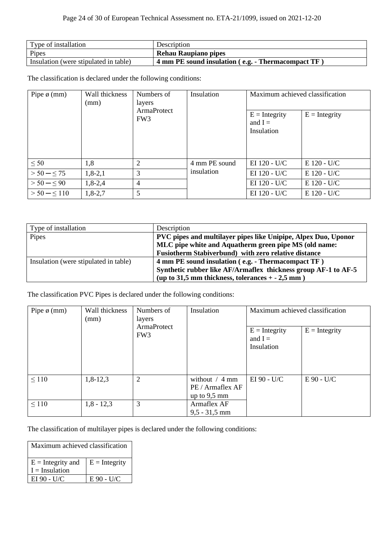| Type of installation                  | Description                                                |
|---------------------------------------|------------------------------------------------------------|
| Pipes                                 | Rehau Raupiano pipes                                       |
| Insulation (were stipulated in table) | $\vert$ 4 mm PE sound insulation (e.g. - Thermacompact TF) |

| Pipe $\phi$ (mm) | Wall thickness<br>(mm) | Numbers of<br>layers<br>ArmaProtect<br>FW <sub>3</sub> | Insulation    | Maximum achieved classification<br>$E =$ Integrity<br>and $I =$<br>Insulation | $E =$ Integrity |
|------------------|------------------------|--------------------------------------------------------|---------------|-------------------------------------------------------------------------------|-----------------|
| $\leq 50$        | 1,8                    | 2                                                      | 4 mm PE sound | EI 120 - U/C                                                                  | $E$ 120 - U/C   |
| $> 50 - \le 75$  | $1,8-2,1$              | 3                                                      | insulation    | EI 120 - U/C                                                                  | $E$ 120 - U/C   |
| $> 50 - \leq 90$ | $1,8-2,4$              | 4                                                      |               | EI 120 - U/C                                                                  | E 120 - U/C     |
| $> 50 - \le 110$ | $1,8-2,7$              | 5                                                      |               | EI 120 - U/C                                                                  | $E$ 120 - U/C   |

| Type of installation                  | Description                                                    |
|---------------------------------------|----------------------------------------------------------------|
| Pipes                                 | PVC pipes and multilayer pipes like Unipipe, Alpex Duo, Uponor |
|                                       | MLC pipe white and Aquatherm green pipe MS (old name:          |
|                                       | Fusiotherm Stabiverbund) with zero relative distance           |
| Insulation (were stipulated in table) | 4 mm PE sound insulation (e.g. - Thermacompact TF)             |
|                                       | Synthetic rubber like AF/Armaflex thickness group AF-1 to AF-5 |
|                                       | (up to 31,5 mm thickness, tolerances $+ -2$ ,5 mm)             |

The classification PVC Pipes is declared under the following conditions:

| Wall thickness<br>Pipe $\phi$ (mm)<br>(mm) |              | Numbers of<br>layers           | Insulation                                             | Maximum achieved classification            |                 |  |
|--------------------------------------------|--------------|--------------------------------|--------------------------------------------------------|--------------------------------------------|-----------------|--|
|                                            |              | ArmaProtect<br>FW <sub>3</sub> |                                                        | $E =$ Integrity<br>and $I =$<br>Insulation | $E =$ Integrity |  |
| $\leq 110$                                 | $1,8-12,3$   | $\overline{2}$                 | without $/$ 4 mm<br>PE / Armaflex AF<br>up to $9,5$ mm | EI 90 - U/C                                | $E$ 90 - U/C    |  |
| $\leq 110$                                 | $1,8 - 12,3$ | 3                              | Armaflex AF<br>$9.5 - 31.5$ mm                         |                                            |                 |  |

The classification of multilayer pipes is declared under the following conditions:

| Maximum achieved classification |                 |  |  |  |
|---------------------------------|-----------------|--|--|--|
| $E =$ Integrity and             | $E =$ Integrity |  |  |  |
| $I = Insulation$                |                 |  |  |  |
| EI 90 - U/C                     | E 90 - U/C      |  |  |  |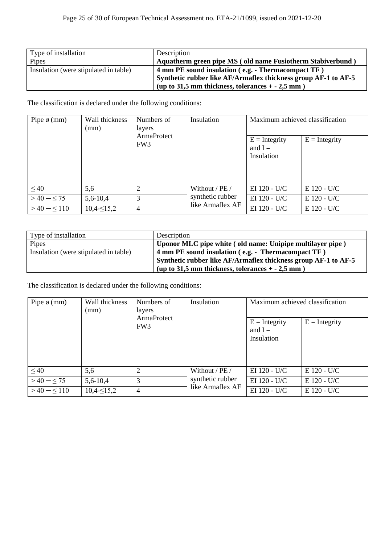| Type of installation                  | Description                                                    |
|---------------------------------------|----------------------------------------------------------------|
| Pipes                                 | Aquatherm green pipe MS (old name Fusiotherm Stabiverbund)     |
| Insulation (were stipulated in table) | 4 mm PE sound insulation (e.g. - Thermacompact TF)             |
|                                       | Synthetic rubber like AF/Armaflex thickness group AF-1 to AF-5 |
|                                       | (up to 31,5 mm thickness, tolerances $+ -2.5$ mm)              |

| Pipe $\phi$ (mm) | Wall thickness<br>(mm) | Numbers of<br>layers<br>ArmaProtect | Insulation                           | Maximum achieved classification            |                 |
|------------------|------------------------|-------------------------------------|--------------------------------------|--------------------------------------------|-----------------|
|                  |                        | FW <sub>3</sub>                     |                                      | $E =$ Integrity<br>and $I =$<br>Insulation | $E =$ Integrity |
| $\leq 40$        | 5,6                    | 2                                   | Without / PE /                       | EI 120 - U/C                               | $E$ 120 - U/C   |
| $>40 - \leq 75$  | $5,6-10,4$             | 3                                   | synthetic rubber<br>like Armaflex AF | EI 120 - U/C                               | $E$ 120 - U/C   |
| $>40 - 110$      | $10,4 \leq 15,2$       | $\overline{4}$                      |                                      | EI 120 - U/C                               | $E$ 120 - U/C   |

| Type of installation                  | Description                                                    |
|---------------------------------------|----------------------------------------------------------------|
| Pipes                                 | Uponor MLC pipe white (old name: Unipipe multilayer pipe)      |
| Insulation (were stipulated in table) | 4 mm PE sound insulation (e.g. - Thermacompact TF)             |
|                                       | Synthetic rubber like AF/Armaflex thickness group AF-1 to AF-5 |
|                                       | (up to 31,5 mm thickness, tolerances $+ -2.5$ mm)              |

| Pipe $\phi$ (mm) | Wall thickness<br>(mm) | Numbers of<br>layers<br><b>ArmaProtect</b><br>FW <sub>3</sub> | Insulation                           | Maximum achieved classification<br>$E =$ Integrity<br>and $I =$ | $E =$ Integrity |
|------------------|------------------------|---------------------------------------------------------------|--------------------------------------|-----------------------------------------------------------------|-----------------|
|                  |                        |                                                               |                                      | Insulation                                                      |                 |
| $\leq 40$        | 5,6                    | $\overline{2}$                                                | Without / PE /                       | EI 120 - U/C                                                    | $E$ 120 - U/C   |
| $>40 - 55$       | $5,6-10,4$             | 3                                                             | synthetic rubber<br>like Armaflex AF | EI 120 - U/C                                                    | E 120 - U/C     |
| $>40 - \le 110$  | $10,4 \leq 15,2$       | 4                                                             |                                      | EI 120 - U/C                                                    | E 120 - U/C     |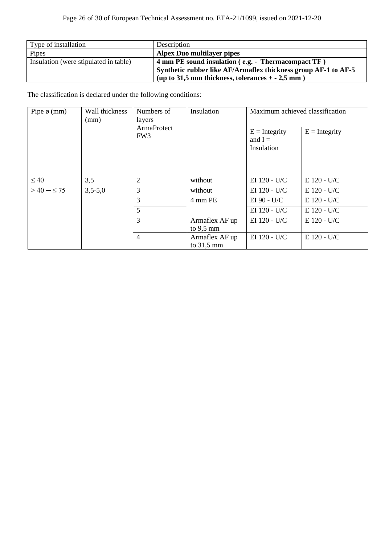| Type of installation                  | Description                                                    |
|---------------------------------------|----------------------------------------------------------------|
| Pipes                                 | <b>Alpex Duo multilayer pipes</b>                              |
| Insulation (were stipulated in table) | 4 mm PE sound insulation (e.g. - Thermacompact TF)             |
|                                       | Synthetic rubber like AF/Armaflex thickness group AF-1 to AF-5 |
|                                       | (up to 31,5 mm thickness, tolerances $+ -2.5$ mm)              |

| Wall thickness<br>Pipe $\phi$ (mm)<br>(mm) | Numbers of<br>layers                  | Insulation     | Maximum achieved classification            |                 |               |
|--------------------------------------------|---------------------------------------|----------------|--------------------------------------------|-----------------|---------------|
|                                            | <b>ArmaProtect</b><br>FW <sub>3</sub> |                | $E =$ Integrity<br>and $I =$<br>Insulation | $E =$ Integrity |               |
| $\leq 40$                                  | 3,5                                   | $\overline{2}$ | without                                    | EI 120 - U/C    | $E$ 120 - U/C |
| $>40 - 55$<br>$3,5-5,0$                    |                                       | 3              | without                                    | EI 120 - U/C    | E 120 - U/C   |
|                                            |                                       | 3              | 4 mm PE                                    | EI 90 - U/C     | $E$ 120 - U/C |
|                                            | 5                                     |                | EI 120 - U/C                               | $E$ 120 - U/C   |               |
|                                            |                                       | 3              | Armaflex AF up<br>to $9,5 \text{ mm}$      | EI 120 - U/C    | E 120 - U/C   |
|                                            |                                       | $\overline{4}$ | Armaflex AF up<br>to $31,5 \text{ mm}$     | EI 120 - U/C    | E 120 - U/C   |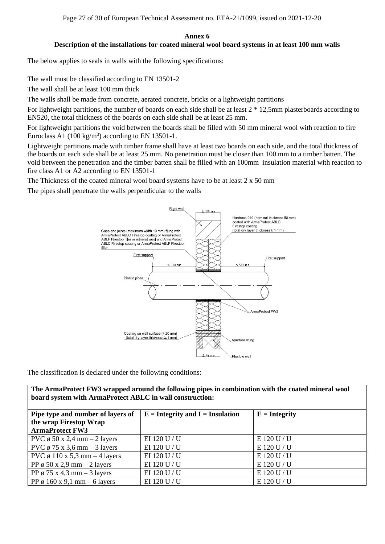Page 27 of 30 of European Technical Assessment no. ETA-21/1099, issued on 2021-12-20

#### **Annex 6 Description of the installations for coated mineral wool board systems in at least 100 mm walls**

The below applies to seals in walls with the following specifications:

The wall must be classified according to EN 13501-2

The wall shall be at least 100 mm thick

The walls shall be made from concrete, aerated concrete, bricks or a lightweight partitions

For lightweight partitions, the number of boards on each side shall be at least 2 \* 12,5mm plasterboards according to EN520, the total thickness of the boards on each side shall be at least 25 mm.

For lightweight partitions the void between the boards shall be filled with 50 mm mineral wool with reaction to fire Euroclass A1  $(100 \text{ kg/m}^3)$  according to EN 13501-1.

Lightweight partitions made with timber frame shall have at least two boards on each side, and the total thickness of the boards on each side shall be at least 25 mm. No penetration must be closer than 100 mm to a timber batten. The void between the penetration and the timber batten shall be filled with an 100mm insulation material with reaction to fire class A1 or A2 according to EN 13501-1

The Thickness of the coated mineral wool board systems have to be at least 2 x 50 mm

The pipes shall penetrate the walls perpendicular to the walls



The classification is declared under the following conditions:

**The ArmaProtect FW3 wrapped around the following pipes in combination with the coated mineral wool board system with ArmaProtect ABLC in wall construction:**

| Pipe type and number of layers of                | $E =$ Integrity and I = Insulation | $E =$ Integrity |
|--------------------------------------------------|------------------------------------|-----------------|
| the wrap Firestop Wrap<br><b>ArmaProtect FW3</b> |                                    |                 |
| PVC $\phi$ 50 x 2,4 mm – 2 layers                | EI 120 U / U                       | $E$ 120 U / U   |
| PVC $\phi$ 75 x 3,6 mm – 3 layers                | EI 120 U / U                       | E 120 U / U     |
| PVC $\varphi$ 110 x 5,3 mm – 4 layers            | EI 120 U / U                       | E 120 U / U     |
| PP $\phi$ 50 x 2,9 mm – 2 layers                 | EI 120 U / U                       | E 120 U / U     |
| PP $\varphi$ 75 x 4,3 mm – 3 layers              | EI 120 U / U                       | E 120 U / U     |
| PP ø 160 x 9,1 mm – 6 layers                     | EI 120 U / U                       | E 120 U / U     |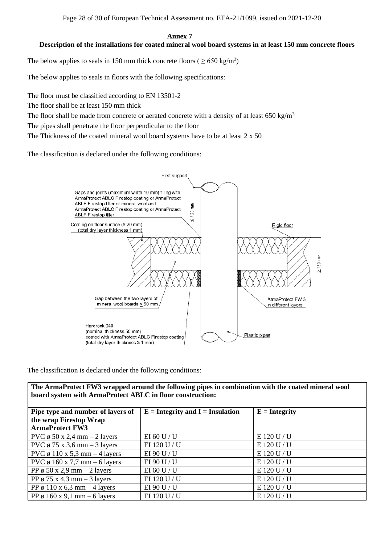#### **Annex 7 Description of the installations for coated mineral wool board systems in at least 150 mm concrete floors**

The below applies to seals in 150 mm thick concrete floors ( $\geq 650 \text{ kg/m}^3$ )

The below applies to seals in floors with the following specifications:

The floor must be classified according to EN 13501-2

The floor shall be at least 150 mm thick

The floor shall be made from concrete or aerated concrete with a density of at least 650 kg/m<sup>3</sup>

The pipes shall penetrate the floor perpendicular to the floor

The Thickness of the coated mineral wool board systems have to be at least 2 x 50

The classification is declared under the following conditions:



The classification is declared under the following conditions:

**The ArmaProtect FW3 wrapped around the following pipes in combination with the coated mineral wool board system with ArmaProtect ABLC in floor construction:**

| Pipe type and number of layers of     | $E =$ Integrity and I = Insulation | $E =$ Integrity |
|---------------------------------------|------------------------------------|-----------------|
| the wrap Firestop Wrap                |                                    |                 |
| <b>ArmaProtect FW3</b>                |                                    |                 |
| PVC $\phi$ 50 x 2,4 mm – 2 layers     | EI 60 U / U                        | $E$ 120 U / U   |
| PVC $\phi$ 75 x 3,6 mm – 3 layers     | EI 120 U / U                       | E 120 U / U     |
| PVC $\phi$ 110 x 5,3 mm – 4 layers    | EI 90 U / U                        | E 120 U / U     |
| PVC $\varphi$ 160 x 7,7 mm – 6 layers | EI 90 U / U                        | E 120 U / U     |
| PP $\phi$ 50 x 2,9 mm – 2 layers      | EI 60 U / U                        | E 120 U / U     |
| PP $\varphi$ 75 x 4,3 mm – 3 layers   | EI 120 U / U                       | E 120 U / U     |
| PP ø 110 x 6,3 mm – 4 layers          | EI 90 U / U                        | E 120 U / U     |
| PP ø 160 x 9,1 mm – 6 layers          | EI 120 U / U                       | E 120 U / U     |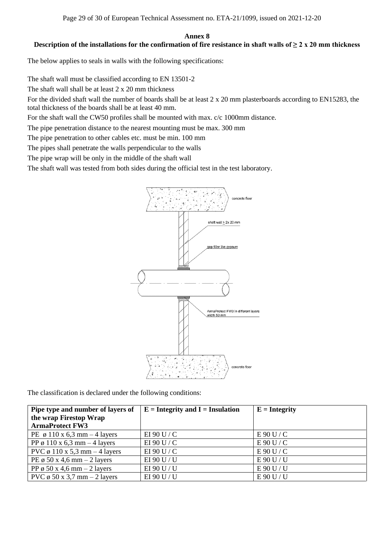#### **Annex 8 Description of the installations for the confirmation of fire resistance in shaft walls of ≥ 2 x 20 mm thickness**

The below applies to seals in walls with the following specifications:

The shaft wall must be classified according to EN 13501-2

The shaft wall shall be at least 2 x 20 mm thickness

For the divided shaft wall the number of boards shall be at least 2 x 20 mm plasterboards according to EN15283, the total thickness of the boards shall be at least 40 mm.

For the shaft wall the CW50 profiles shall be mounted with max. c/c 1000mm distance.

The pipe penetration distance to the nearest mounting must be max. 300 mm

The pipe penetration to other cables etc. must be min. 100 mm

The pipes shall penetrate the walls perpendicular to the walls

The pipe wrap will be only in the middle of the shaft wall

The shaft wall was tested from both sides during the official test in the test laboratory.



| Pipe type and number of layers of     | $E =$ Integrity and I = Insulation | $E =$ <b>Integrity</b> |
|---------------------------------------|------------------------------------|------------------------|
| the wrap Firestop Wrap                |                                    |                        |
| <b>ArmaProtect FW3</b>                |                                    |                        |
| PE $\varphi$ 110 x 6,3 mm – 4 layers  | EI 90 U / C                        | E90U/C                 |
| PP ø 110 x 6,3 mm – 4 layers          | EI 90 U / C                        | E90U/C                 |
| PVC $\varphi$ 110 x 5,3 mm – 4 layers | EI 90 U / C                        | E90U/C                 |
| PE $\varphi$ 50 x 4,6 mm – 2 layers   | EI 90 U / U                        | E90U/U                 |
| PP $\varphi$ 50 x 4,6 mm – 2 layers   | EI 90 U / U                        | E90U/U                 |
| PVC $\phi$ 50 x 3,7 mm – 2 layers     | EI 90 U / U                        | E90U/U                 |